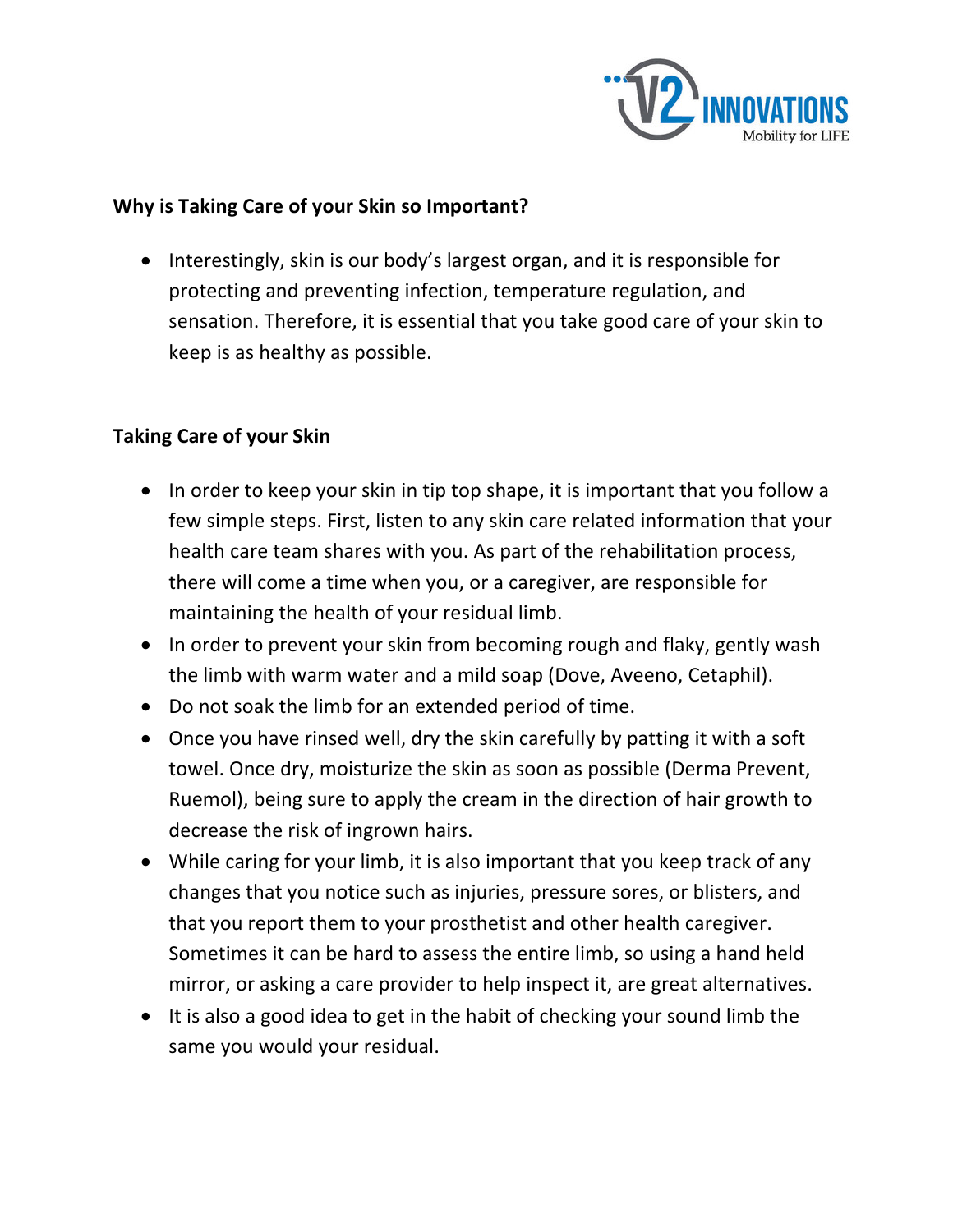

## **Why is Taking Care of your Skin so Important?**

• Interestingly, skin is our body's largest organ, and it is responsible for protecting and preventing infection, temperature regulation, and sensation. Therefore, it is essential that you take good care of your skin to keep is as healthy as possible.

## **Taking Care of your Skin**

- In order to keep your skin in tip top shape, it is important that you follow a few simple steps. First, listen to any skin care related information that your health care team shares with you. As part of the rehabilitation process, there will come a time when you, or a caregiver, are responsible for maintaining the health of your residual limb.
- In order to prevent your skin from becoming rough and flaky, gently wash the limb with warm water and a mild soap (Dove, Aveeno, Cetaphil).
- Do not soak the limb for an extended period of time.
- Once you have rinsed well, dry the skin carefully by patting it with a soft towel. Once dry, moisturize the skin as soon as possible (Derma Prevent, Ruemol), being sure to apply the cream in the direction of hair growth to decrease the risk of ingrown hairs.
- While caring for your limb, it is also important that you keep track of any changes that you notice such as injuries, pressure sores, or blisters, and that you report them to your prosthetist and other health caregiver. Sometimes it can be hard to assess the entire limb, so using a hand held mirror, or asking a care provider to help inspect it, are great alternatives.
- It is also a good idea to get in the habit of checking your sound limb the same you would your residual.